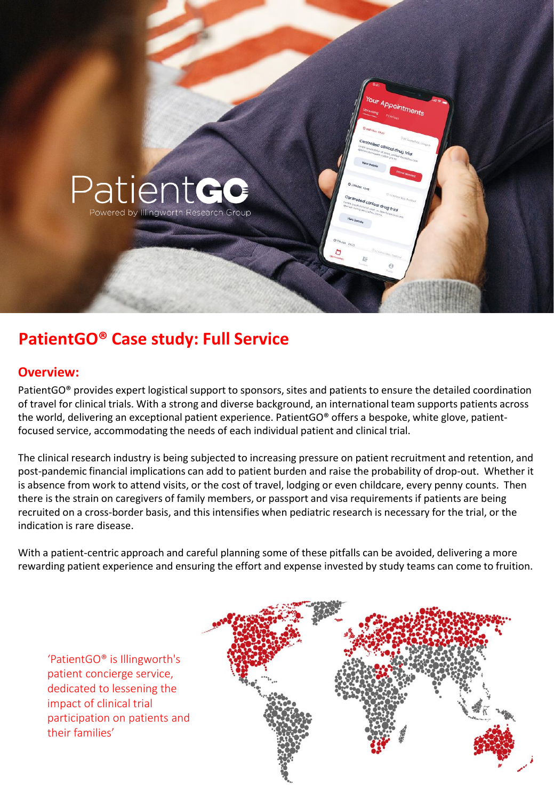

## **PatientGO® Case study: Full Service**

## **Overview:**

PatientGO<sup>®</sup> provides expert logistical support to sponsors, sites and patients to ensure the detailed coordination of travel for clinical trials. With a strong and diverse background, an international team supports patients across the world, delivering an exceptional patient experience. PatientGO® offers a bespoke, white glove, patientfocused service, accommodating the needs of each individual patient and clinical trial.

The clinical research industry is being subjected to increasing pressure on patient recruitment and retention, and post-pandemic financial implications can add to patient burden and raise the probability of drop-out. Whether it is absence from work to attend visits, or the cost of travel, lodging or even childcare, every penny counts. Then there is the strain on caregivers of family members, or passport and visa requirements if patients are being recruited on a cross-border basis, and this intensifies when pediatric research is necessary for the trial, or the indication is rare disease.

With a patient-centric approach and careful planning some of these pitfalls can be avoided, delivering a more rewarding patient experience and ensuring the effort and expense invested by study teams can come to fruition.

'PatientGO® is Illingworth's patient concierge service, dedicated to lessening the impact of clinical trial participation on patients and their families'